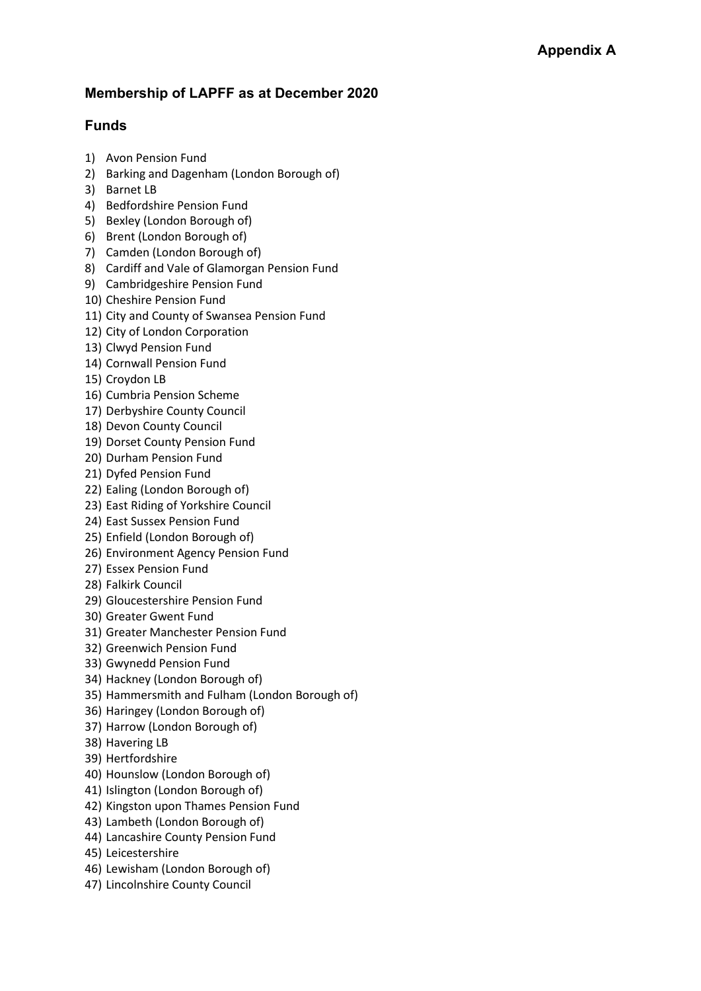## **Membership of LAPFF as at December 2020**

## **Funds**

- 1) Avon Pension Fund
- 2) Barking and Dagenham (London Borough of)
- 3) Barnet LB
- 4) Bedfordshire Pension Fund
- 5) Bexley (London Borough of)
- 6) Brent (London Borough of)
- 7) Camden (London Borough of)
- 8) Cardiff and Vale of Glamorgan Pension Fund
- 9) Cambridgeshire Pension Fund
- 10) Cheshire Pension Fund
- 11) City and County of Swansea Pension Fund
- 12) City of London Corporation
- 13) Clwyd Pension Fund
- 14) Cornwall Pension Fund
- 15) Croydon LB
- 16) Cumbria Pension Scheme
- 17) Derbyshire County Council
- 18) Devon County Council
- 19) Dorset County Pension Fund
- 20) Durham Pension Fund
- 21) Dyfed Pension Fund
- 22) Ealing (London Borough of)
- 23) East Riding of Yorkshire Council
- 24) East Sussex Pension Fund
- 25) Enfield (London Borough of)
- 26) Environment Agency Pension Fund
- 27) Essex Pension Fund
- 28) Falkirk Council
- 29) Gloucestershire Pension Fund
- 30) Greater Gwent Fund
- 31) Greater Manchester Pension Fund
- 32) Greenwich Pension Fund
- 33) Gwynedd Pension Fund
- 34) Hackney (London Borough of)
- 35) Hammersmith and Fulham (London Borough of)
- 36) Haringey (London Borough of)
- 37) Harrow (London Borough of)
- 38) Havering LB
- 39) Hertfordshire
- 40) Hounslow (London Borough of)
- 41) Islington (London Borough of)
- 42) Kingston upon Thames Pension Fund
- 43) Lambeth (London Borough of)
- 44) Lancashire County Pension Fund
- 45) Leicestershire
- 46) Lewisham (London Borough of)
- 47) Lincolnshire County Council